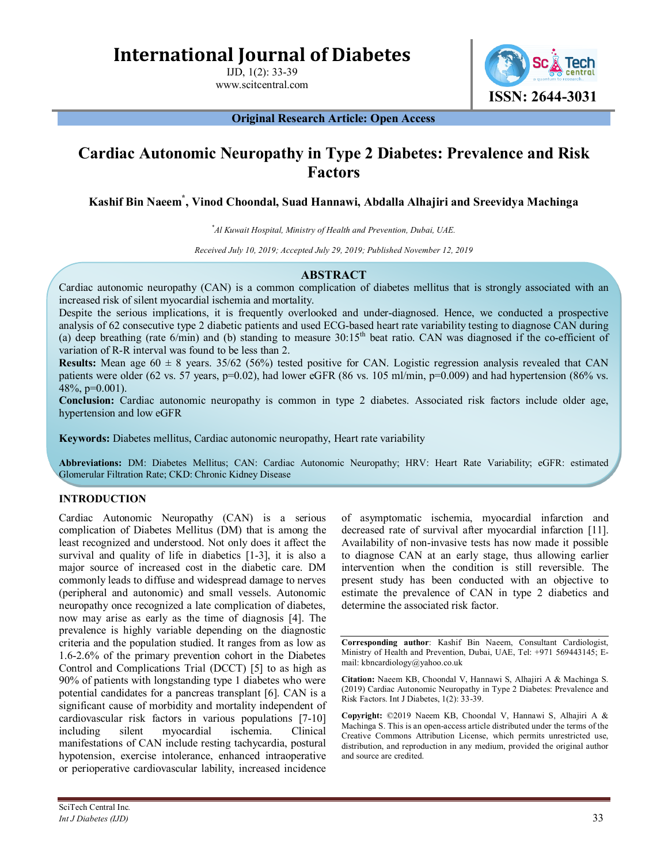**International Journal of Diabetes**

IJD, 1(2): 33-39 www.scitcentral.com

**ISSN: 2644-3031**

**Original Research Article: Open Access**

# **Cardiac Autonomic Neuropathy in Type 2 Diabetes: Prevalence and Risk Factors**

**Kashif Bin Naeem\* , Vinod Choondal, Suad Hannawi, Abdalla Alhajiri and Sreevidya Machinga**

*\* Al Kuwait Hospital, Ministry of Health and Prevention, Dubai, UAE.*

*Received July 10, 2019; Accepted July 29, 2019; Published November 12, 2019*

# **ABSTRACT**

Cardiac autonomic neuropathy (CAN) is a common complication of diabetes mellitus that is strongly associated with an increased risk of silent myocardial ischemia and mortality.

Despite the serious implications, it is frequently overlooked and under-diagnosed. Hence, we conducted a prospective analysis of 62 consecutive type 2 diabetic patients and used ECG-based heart rate variability testing to diagnose CAN during (a) deep breathing (rate  $6/\text{min}$ ) and (b) standing to measure  $30:15^{\text{th}}$  beat ratio. CAN was diagnosed if the co-efficient of variation of R-R interval was found to be less than 2.

**Results:** Mean age  $60 \pm 8$  years.  $35/62$  (56%) tested positive for CAN. Logistic regression analysis revealed that CAN patients were older (62 vs. 57 years, p=0.02), had lower eGFR (86 vs. 105 ml/min, p=0.009) and had hypertension (86% vs. 48\%, p= $0.001$ ).

**Conclusion:** Cardiac autonomic neuropathy is common in type 2 diabetes. Associated risk factors include older age, hypertension and low eGFR

**Keywords:** Diabetes mellitus, Cardiac autonomic neuropathy, Heart rate variability

**Abbreviations:** DM: Diabetes Mellitus; CAN: Cardiac Autonomic Neuropathy; HRV: Heart Rate Variability; eGFR: estimated Glomerular Filtration Rate; CKD: Chronic Kidney Disease

# **INTRODUCTION**

Cardiac Autonomic Neuropathy (CAN) is a serious complication of Diabetes Mellitus (DM) that is among the least recognized and understood. Not only does it affect the survival and quality of life in diabetics [1-3], it is also a major source of increased cost in the diabetic care. DM commonly leads to diffuse and widespread damage to nerves (peripheral and autonomic) and small vessels. Autonomic neuropathy once recognized a late complication of diabetes, now may arise as early as the time of diagnosis [4]. The prevalence is highly variable depending on the diagnostic criteria and the population studied. It ranges from as low as 1.6-2.6% of the primary prevention cohort in the Diabetes Control and Complications Trial (DCCT) [5] to as high as 90% of patients with longstanding type 1 diabetes who were potential candidates for a pancreas transplant [6]. CAN is a significant cause of morbidity and mortality independent of cardiovascular risk factors in various populations [7-10] including silent myocardial ischemia. Clinical manifestations of CAN include resting tachycardia, postural hypotension, exercise intolerance, enhanced intraoperative or perioperative cardiovascular lability, increased incidence

of asymptomatic ischemia, myocardial infarction and decreased rate of survival after myocardial infarction [11]. Availability of non-invasive tests has now made it possible to diagnose CAN at an early stage, thus allowing earlier intervention when the condition is still reversible. The present study has been conducted with an objective to estimate the prevalence of CAN in type 2 diabetics and determine the associated risk factor.

**Corresponding author**: Kashif Bin Naeem, Consultant Cardiologist, Ministry of Health and Prevention, Dubai, UAE, Tel: +971 569443145; Email: kbncardiology@yahoo.co.uk

**Citation:** Naeem KB, Choondal V, Hannawi S, Alhajiri A & Machinga S. (2019) Cardiac Autonomic Neuropathy in Type 2 Diabetes: Prevalence and Risk Factors. Int J Diabetes, 1(2): 33-39.

**Copyright:** ©2019 Naeem KB, Choondal V, Hannawi S, Alhajiri A & Machinga S. This is an open-access article distributed under the terms of the Creative Commons Attribution License, which permits unrestricted use, distribution, and reproduction in any medium, provided the original author and source are credited.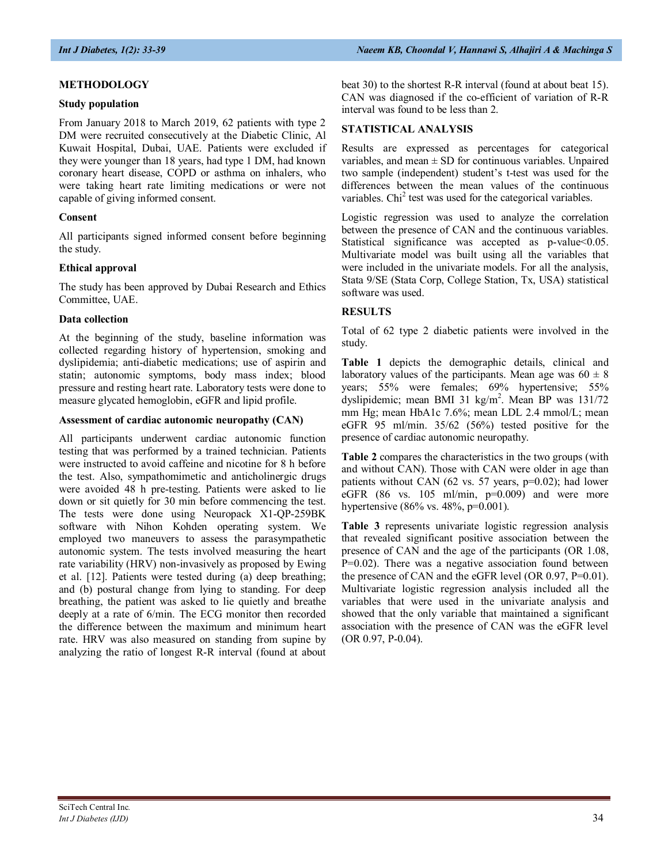# **METHODOLOGY**

### **Study population**

From January 2018 to March 2019, 62 patients with type 2 DM were recruited consecutively at the Diabetic Clinic, Al Kuwait Hospital, Dubai, UAE. Patients were excluded if they were younger than 18 years, had type 1 DM, had known coronary heart disease, COPD or asthma on inhalers, who were taking heart rate limiting medications or were not capable of giving informed consent.

# **Consent**

All participants signed informed consent before beginning the study.

# **Ethical approval**

The study has been approved by Dubai Research and Ethics Committee, UAE.

#### **Data collection**

At the beginning of the study, baseline information was collected regarding history of hypertension, smoking and dyslipidemia; anti-diabetic medications; use of aspirin and statin; autonomic symptoms, body mass index; blood pressure and resting heart rate. Laboratory tests were done to measure glycated hemoglobin, eGFR and lipid profile.

#### **Assessment of cardiac autonomic neuropathy (CAN)**

All participants underwent cardiac autonomic function testing that was performed by a trained technician. Patients were instructed to avoid caffeine and nicotine for 8 h before the test. Also, sympathomimetic and anticholinergic drugs were avoided 48 h pre-testing. Patients were asked to lie down or sit quietly for 30 min before commencing the test. The tests were done using Neuropack X1-QP-259BK software with Nihon Kohden operating system. We employed two maneuvers to assess the parasympathetic autonomic system. The tests involved measuring the heart rate variability (HRV) non-invasively as proposed by Ewing et al. [12]. Patients were tested during (a) deep breathing; and (b) postural change from lying to standing. For deep breathing, the patient was asked to lie quietly and breathe deeply at a rate of 6/min. The ECG monitor then recorded the difference between the maximum and minimum heart rate. HRV was also measured on standing from supine by analyzing the ratio of longest R-R interval (found at about

beat 30) to the shortest R-R interval (found at about beat 15). CAN was diagnosed if the co-efficient of variation of R-R interval was found to be less than 2.

# **STATISTICAL ANALYSIS**

Results are expressed as percentages for categorical variables, and mean  $\pm$  SD for continuous variables. Unpaired two sample (independent) student's t-test was used for the differences between the mean values of the continuous variables. Chi<sup>2</sup> test was used for the categorical variables.

Logistic regression was used to analyze the correlation between the presence of CAN and the continuous variables. Statistical significance was accepted as p-value<0.05. Multivariate model was built using all the variables that were included in the univariate models. For all the analysis, Stata 9/SE (Stata Corp, College Station, Tx, USA) statistical software was used.

# **RESULTS**

Total of 62 type 2 diabetic patients were involved in the study.

**Table 1** depicts the demographic details, clinical and laboratory values of the participants. Mean age was  $60 \pm 8$ years; 55% were females; 69% hypertensive; 55% dyslipidemic; mean BMI 31 kg/m<sup>2</sup>. Mean BP was 131/72 mm Hg; mean HbA1c 7.6%; mean LDL 2.4 mmol/L; mean eGFR 95 ml/min. 35/62 (56%) tested positive for the presence of cardiac autonomic neuropathy.

**Table 2** compares the characteristics in the two groups (with and without CAN). Those with CAN were older in age than patients without CAN (62 vs. 57 years, p=0.02); had lower eGFR  $(86 \text{ vs. } 105 \text{ ml/min}, \text{ p=0.009})$  and were more hypertensive (86% vs. 48%, p=0.001).

**Table 3** represents univariate logistic regression analysis that revealed significant positive association between the presence of CAN and the age of the participants (OR 1.08, P=0.02). There was a negative association found between the presence of CAN and the eGFR level (OR 0.97, P=0.01). Multivariate logistic regression analysis included all the variables that were used in the univariate analysis and showed that the only variable that maintained a significant association with the presence of CAN was the eGFR level (OR 0.97, P-0.04).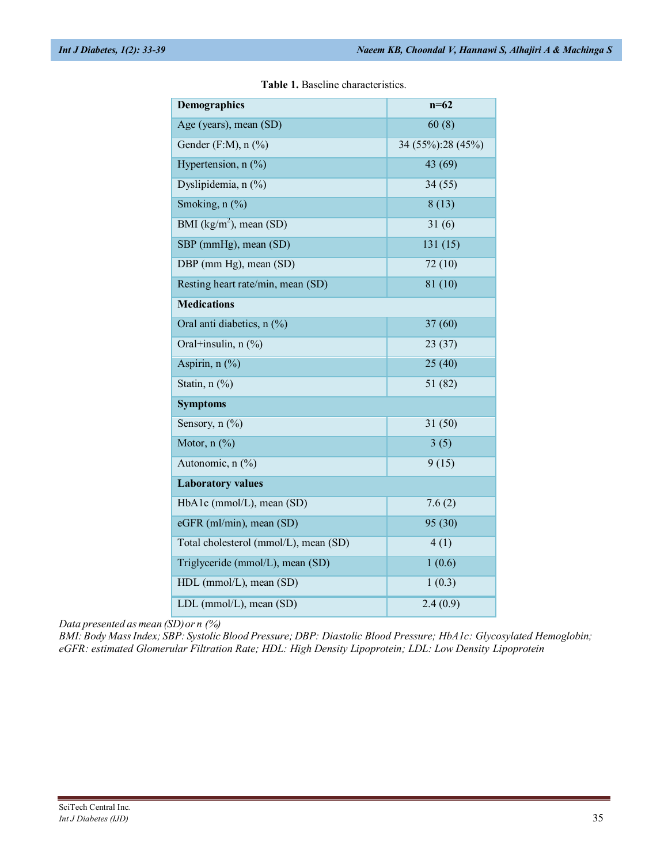| <b>Demographics</b>                   | $n=62$            |  |  |  |  |  |
|---------------------------------------|-------------------|--|--|--|--|--|
| Age (years), mean (SD)                | 60(8)             |  |  |  |  |  |
| Gender (F:M), $n$ (%)                 | 34 (55%):28 (45%) |  |  |  |  |  |
| Hypertension, $n$ (%)                 | 43 (69)           |  |  |  |  |  |
| Dyslipidemia, n (%)                   | 34(55)            |  |  |  |  |  |
| Smoking, n (%)                        | 8(13)             |  |  |  |  |  |
| BMI ( $\text{kg/m}^2$ ), mean (SD)    | 31(6)             |  |  |  |  |  |
| SBP (mmHg), mean (SD)                 | 131(15)           |  |  |  |  |  |
| DBP (mm Hg), mean (SD)                | 72(10)            |  |  |  |  |  |
| Resting heart rate/min, mean (SD)     | 81 (10)           |  |  |  |  |  |
| <b>Medications</b>                    |                   |  |  |  |  |  |
| Oral anti diabetics, n (%)            | 37(60)            |  |  |  |  |  |
| Oral+insulin, n (%)                   | 23(37)            |  |  |  |  |  |
| Aspirin, n (%)                        | 25(40)            |  |  |  |  |  |
| Statin, $n$ $(\%)$                    | 51 (82)           |  |  |  |  |  |
| <b>Symptoms</b>                       |                   |  |  |  |  |  |
| Sensory, n (%)                        | 31(50)            |  |  |  |  |  |
| Motor, $n$ $(\%)$                     | 3(5)              |  |  |  |  |  |
| Autonomic, n (%)                      | 9(15)             |  |  |  |  |  |
| <b>Laboratory values</b>              |                   |  |  |  |  |  |
| HbA1c (mmol/L), mean (SD)             | 7.6(2)            |  |  |  |  |  |
| eGFR (ml/min), mean (SD)              | 95 (30)           |  |  |  |  |  |
| Total cholesterol (mmol/L), mean (SD) | 4(1)              |  |  |  |  |  |
| Triglyceride (mmol/L), mean (SD)      | 1(0.6)            |  |  |  |  |  |
| HDL (mmol/L), mean (SD)               | 1(0.3)            |  |  |  |  |  |
| LDL (mmol/L), mean (SD)               | 2.4(0.9)          |  |  |  |  |  |

**Table 1.** Baseline characteristics.

*Data presented as mean (SD) or n (%)*

*BMI: Body Mass Index; SBP: Systolic Blood Pressure; DBP: Diastolic Blood Pressure; HbA1c: Glycosylated Hemoglobin; eGFR: estimated Glomerular Filtration Rate; HDL: High Density Lipoprotein; LDL: Low Density Lipoprotein*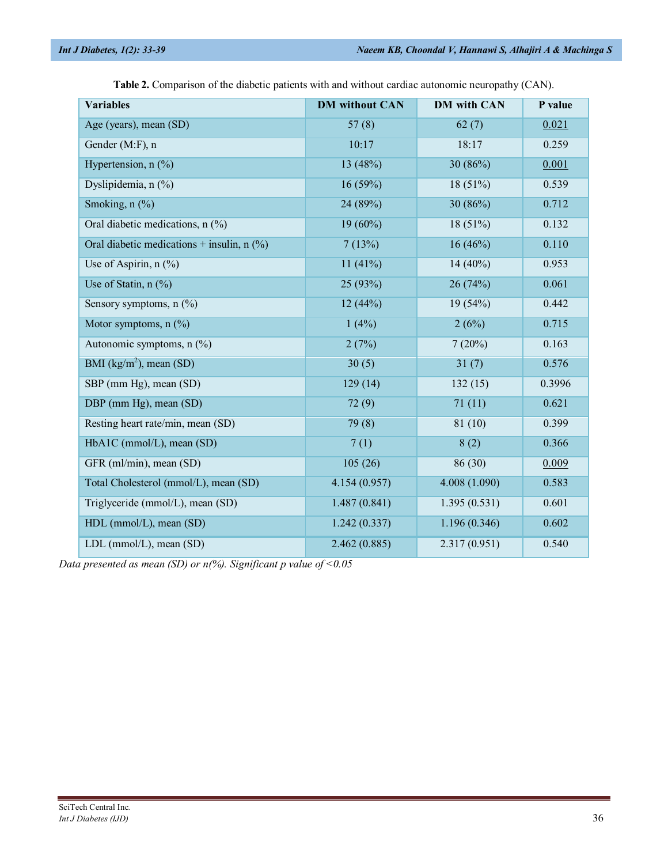| <b>Variables</b>                             | <b>DM</b> without CAN | <b>DM</b> with CAN | P value |
|----------------------------------------------|-----------------------|--------------------|---------|
| Age (years), mean (SD)                       | 57(8)<br>62(7)        |                    | 0.021   |
| Gender (M:F), n                              | 10:17<br>18:17        |                    | 0.259   |
| Hypertension, $n$ $(\%)$                     | 13 (48%)<br>30(86%)   |                    | 0.001   |
| Dyslipidemia, n (%)                          | 16(59%)<br>18(51%)    |                    | 0.539   |
| Smoking, n (%)                               | 24 (89%)              | 30(86%)            | 0.712   |
| Oral diabetic medications, n (%)             | $19(60\%)$<br>18(51%) |                    | 0.132   |
| Oral diabetic medications + insulin, $n$ (%) | 7(13%)                | 16(46%)            | 0.110   |
| Use of Aspirin, $n$ (%)                      | 11(41%)               | 14 $(40\%)$        |         |
| Use of Statin, $n$ $(\%)$                    | 25 (93%)              | 26(74%)            | 0.061   |
| Sensory symptoms, $n$ (%)                    | 12(44%)               | 19(54%)            | 0.442   |
| Motor symptoms, $n$ (%)                      | 1(4%)                 | 2(6%)              | 0.715   |
| Autonomic symptoms, n (%)                    | 2(7%)                 | 7(20%)             | 0.163   |
| BMI $(kg/m^2)$ , mean (SD)                   | 30(5)                 | 31(7)              | 0.576   |
| SBP (mm Hg), mean (SD)                       | 129(14)               | 132(15)            | 0.3996  |
| DBP (mm Hg), mean (SD)                       | 72(9)                 | 71(11)             | 0.621   |
| Resting heart rate/min, mean (SD)            | 79 (8)                | 81 (10)            | 0.399   |
| HbA1C (mmol/L), mean (SD)                    | 7(1)                  | 8(2)               | 0.366   |
| GFR (ml/min), mean (SD)                      | 105(26)               | 86 (30)            | 0.009   |
| Total Cholesterol (mmol/L), mean (SD)        | 4.154(0.957)          | 4.008 (1.090)      | 0.583   |
| Triglyceride (mmol/L), mean (SD)             | 1.487(0.841)          | 1.395(0.531)       | 0.601   |
| HDL (mmol/L), mean (SD)                      | 1.242(0.337)          | 1.196(0.346)       | 0.602   |
| LDL (mmol/L), mean (SD)                      | 2.462(0.885)          | 2.317(0.951)       | 0.540   |

**Table 2.** Comparison of the diabetic patients with and without cardiac autonomic neuropathy (CAN).

*Data presented as mean (SD) or n(%). Significant p value of <0.05*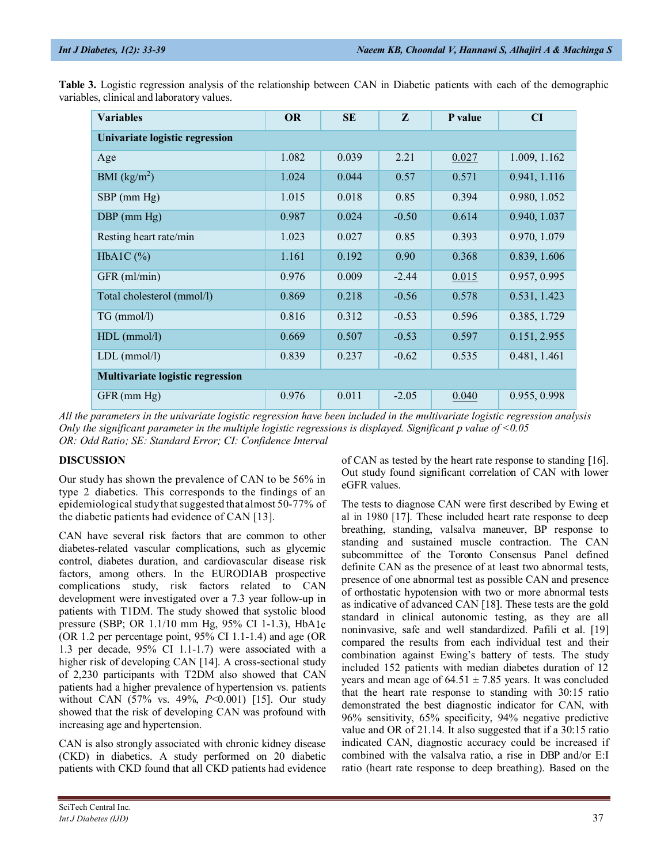| <b>Variables</b>                        | <b>OR</b> | <b>SE</b> | $\mathbf{z}$ | P value | CI           |  |  |  |
|-----------------------------------------|-----------|-----------|--------------|---------|--------------|--|--|--|
| Univariate logistic regression          |           |           |              |         |              |  |  |  |
| Age                                     | 1.082     | 0.039     | 2.21         | 0.027   | 1.009, 1.162 |  |  |  |
| BMI $(kg/m^2)$                          | 1.024     | 0.044     | 0.57         | 0.571   | 0.941, 1.116 |  |  |  |
| $SBP$ (mm $Hg$ )                        | 1.015     | 0.018     | 0.85         | 0.394   | 0.980, 1.052 |  |  |  |
| $DBP$ (mm $Hg$ )                        | 0.987     | 0.024     | $-0.50$      | 0.614   | 0.940, 1.037 |  |  |  |
| Resting heart rate/min                  | 1.023     | 0.027     | 0.85         | 0.393   | 0.970, 1.079 |  |  |  |
| HbA1C $(\%)$                            | 1.161     | 0.192     | 0.90         | 0.368   | 0.839, 1.606 |  |  |  |
| GFR (ml/min)                            | 0.976     | 0.009     | $-2.44$      | 0.015   | 0.957, 0.995 |  |  |  |
| Total cholesterol (mmol/l)              | 0.869     | 0.218     | $-0.56$      | 0.578   | 0.531, 1.423 |  |  |  |
| TG (mmol/l)                             | 0.816     | 0.312     | $-0.53$      | 0.596   | 0.385, 1.729 |  |  |  |
| $HDL$ (mmol/l)                          | 0.669     | 0.507     | $-0.53$      | 0.597   | 0.151, 2.955 |  |  |  |
| $LDL$ (mmol/l)                          | 0.839     | 0.237     | $-0.62$      | 0.535   | 0.481, 1.461 |  |  |  |
| <b>Multivariate logistic regression</b> |           |           |              |         |              |  |  |  |
| GFR (mm Hg)                             | 0.976     | 0.011     | $-2.05$      | 0.040   | 0.955, 0.998 |  |  |  |

**Table 3.** Logistic regression analysis of the relationship between CAN in Diabetic patients with each of the demographic variables, clinical and laboratory values.

*All the parameters in the univariate logistic regression have been included in the multivariate logistic regression analysis Only the significant parameter in the multiple logistic regressions is displayed. Significant p value of <0.05 OR: Odd Ratio; SE: Standard Error; CI: Confidence Interval*

# **DISCUSSION**

Our study has shown the prevalence of CAN to be 56% in type 2 diabetics. This corresponds to the findings of an epidemiological study that suggested that almost 50-77% of the diabetic patients had evidence of CAN [13].

CAN have several risk factors that are common to other diabetes-related vascular complications, such as glycemic control, diabetes duration, and cardiovascular disease risk factors, among others. In the EURODIAB prospective complications study, risk factors related to CAN development were investigated over a 7.3 year follow-up in patients with T1DM. The study showed that systolic blood pressure (SBP; OR 1.1/10 mm Hg, 95% CI 1-1.3), HbA1c (OR 1.2 per percentage point, 95% CI 1.1-1.4) and age (OR 1.3 per decade, 95% CI 1.1-1.7) were associated with a higher risk of developing CAN [14]. A cross-sectional study of 2,230 participants with T2DM also showed that CAN patients had a higher prevalence of hypertension vs. patients without CAN (57% vs. 49%, *P*<0.001) [15]. Our study showed that the risk of developing CAN was profound with increasing age and hypertension.

CAN is also strongly associated with chronic kidney disease (CKD) in diabetics. A study performed on 20 diabetic patients with CKD found that all CKD patients had evidence

of CAN as tested by the heart rate response to standing [16]. Out study found significant correlation of CAN with lower eGFR values.

The tests to diagnose CAN were first described by Ewing et al in 1980 [17]. These included heart rate response to deep breathing, standing, valsalva maneuver, BP response to standing and sustained muscle contraction. The CAN subcommittee of the Toronto Consensus Panel defined definite CAN as the presence of at least two abnormal tests, presence of one abnormal test as possible CAN and presence of orthostatic hypotension with two or more abnormal tests as indicative of advanced CAN [18]. These tests are the gold standard in clinical autonomic testing, as they are all noninvasive, safe and well standardized. Pafili et al. [19] compared the results from each individual test and their combination against Ewing's battery of tests. The study included 152 patients with median diabetes duration of 12 years and mean age of  $64.51 \pm 7.85$  years. It was concluded that the heart rate response to standing with 30:15 ratio demonstrated the best diagnostic indicator for CAN, with 96% sensitivity, 65% specificity, 94% negative predictive value and OR of 21.14. It also suggested that if a 30:15 ratio indicated CAN, diagnostic accuracy could be increased if combined with the valsalva ratio, a rise in DBP and/or E:I ratio (heart rate response to deep breathing). Based on the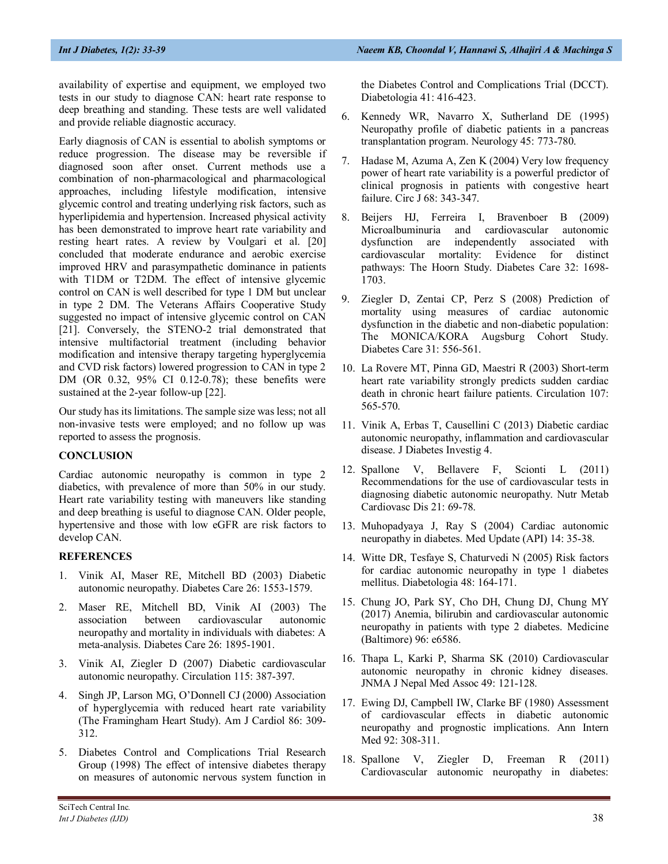availability of expertise and equipment, we employed two tests in our study to diagnose CAN: heart rate response to deep breathing and standing. These tests are well validated and provide reliable diagnostic accuracy.

Early diagnosis of CAN is essential to abolish symptoms or reduce progression. The disease may be reversible if diagnosed soon after onset. Current methods use a combination of non-pharmacological and pharmacological approaches, including lifestyle modification, intensive glycemic control and treating underlying risk factors, such as hyperlipidemia and hypertension. Increased physical activity has been demonstrated to improve heart rate variability and resting heart rates. A review by Voulgari et al. [20] concluded that moderate endurance and aerobic exercise improved HRV and parasympathetic dominance in patients with T1DM or T2DM. The effect of intensive glycemic control on CAN is well described for type 1 DM but unclear in type 2 DM. The Veterans Affairs Cooperative Study suggested no impact of intensive glycemic control on CAN [21]. Conversely, the STENO-2 trial demonstrated that intensive multifactorial treatment (including behavior modification and intensive therapy targeting hyperglycemia and CVD risk factors) lowered progression to CAN in type 2 DM (OR 0.32, 95% CI 0.12-0.78); these benefits were sustained at the 2-year follow-up [22].

Our study has its limitations. The sample size was less; not all non-invasive tests were employed; and no follow up was reported to assess the prognosis.

# **CONCLUSION**

Cardiac autonomic neuropathy is common in type 2 diabetics, with prevalence of more than 50% in our study. Heart rate variability testing with maneuvers like standing and deep breathing is useful to diagnose CAN. Older people, hypertensive and those with low eGFR are risk factors to develop CAN.

# **REFERENCES**

- 1. Vinik AI, Maser RE, Mitchell BD (2003) Diabetic autonomic neuropathy. Diabetes Care 26: 1553-1579.
- 2. Maser RE, Mitchell BD, Vinik AI (2003) The association between cardiovascular autonomic neuropathy and mortality in individuals with diabetes: A meta-analysis. Diabetes Care 26: 1895-1901.
- 3. Vinik AI, Ziegler D (2007) Diabetic cardiovascular autonomic neuropathy. Circulation 115: 387-397.
- 4. Singh JP, Larson MG, O'Donnell CJ (2000) Association of hyperglycemia with reduced heart rate variability (The Framingham Heart Study). Am J Cardiol 86: 309- 312.
- 5. Diabetes Control and Complications Trial Research Group (1998) The effect of intensive diabetes therapy on measures of autonomic nervous system function in

the Diabetes Control and Complications Trial (DCCT). Diabetologia 41: 416-423.

- 6. Kennedy WR, Navarro X, Sutherland DE (1995) Neuropathy profile of diabetic patients in a pancreas transplantation program. Neurology 45: 773-780.
- 7. Hadase M, Azuma A, Zen K (2004) Very low frequency power of heart rate variability is a powerful predictor of clinical prognosis in patients with congestive heart failure. Circ J 68: 343-347.
- 8. Beijers HJ, Ferreira I, Bravenboer B (2009) Microalbuminuria and cardiovascular autonomic dysfunction are independently associated with cardiovascular mortality: Evidence for distinct pathways: The Hoorn Study. Diabetes Care 32: 1698- 1703.
- 9. Ziegler D, Zentai CP, Perz S (2008) Prediction of mortality using measures of cardiac autonomic dysfunction in the diabetic and non-diabetic population: The MONICA/KORA Augsburg Cohort Study. Diabetes Care 31: 556-561.
- 10. La Rovere MT, Pinna GD, Maestri R (2003) Short-term heart rate variability strongly predicts sudden cardiac death in chronic heart failure patients. Circulation 107: 565-570.
- 11. Vinik A, Erbas T, Causellini C (2013) Diabetic cardiac autonomic neuropathy, inflammation and cardiovascular disease. J Diabetes Investig 4.
- 12. Spallone V, Bellavere F, Scionti L (2011) Recommendations for the use of cardiovascular tests in diagnosing diabetic autonomic neuropathy. Nutr Metab Cardiovasc Dis 21: 69-78.
- 13. Muhopadyaya J, Ray S (2004) Cardiac autonomic neuropathy in diabetes. Med Update (API) 14: 35-38.
- 14. Witte DR, Tesfaye S, Chaturvedi N (2005) Risk factors for cardiac autonomic neuropathy in type 1 diabetes mellitus. Diabetologia 48: 164-171.
- 15. Chung JO, Park SY, Cho DH, Chung DJ, Chung MY (2017) Anemia, bilirubin and cardiovascular autonomic neuropathy in patients with type 2 diabetes. Medicine (Baltimore) 96: e6586.
- 16. Thapa L, Karki P, Sharma SK (2010) Cardiovascular autonomic neuropathy in chronic kidney diseases. JNMA J Nepal Med Assoc 49: 121-128.
- 17. Ewing DJ, Campbell IW, Clarke BF (1980) Assessment of cardiovascular effects in diabetic autonomic neuropathy and prognostic implications. Ann Intern Med 92: 308-311.
- 18. Spallone V, Ziegler D, Freeman R (2011) Cardiovascular autonomic neuropathy in diabetes: